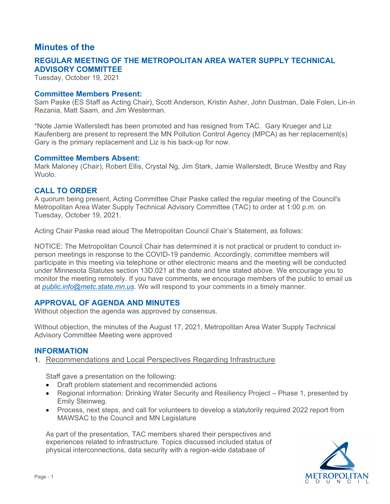# **Minutes of the**

# **REGULAR MEETING OF THE METROPOLITAN AREA WATER SUPPLY TECHNICAL ADVISORY COMMITTEE**

Tuesday, October 19, 2021

#### **Committee Members Present:**

Sam Paske (ES Staff as Acting Chair), Scott Anderson, Kristin Asher, John Dustman, Dale Folen, Lin-in Rezania, Matt Saam, and Jim Westerman.

\*Note Jamie Wallerstedt has been promoted and has resigned from TAC. Gary Krueger and Liz Kaufenberg are present to represent the MN Pollution Control Agency (MPCA) as her replacement(s) Gary is the primary replacement and Liz is his back-up for now.

#### **Committee Members Absent:**

Mark Maloney (Chair), Robert Ellis, Crystal Ng, Jim Stark, Jamie Wallerstedt, Bruce Westby and Ray Wuolo.

## **CALL TO ORDER**

A quorum being present, Acting Committee Chair Paske called the regular meeting of the Council's Metropolitan Area Water Supply Technical Advisory Committee (TAC) to order at 1:00 p.m. on Tuesday, October 19, 2021.

Acting Chair Paske read aloud The Metropolitan Council Chair's Statement, as follows:

NOTICE: The Metropolitan Council Chair has determined it is not practical or prudent to conduct inperson meetings in response to the COVID-19 pandemic. Accordingly, committee members will participate in this meeting via telephone or other electronic means and the meeting will be conducted under Minnesota Statutes section 13D.021 at the date and time stated above. We encourage you to monitor the meeting remotely. If you have comments, we encourage members of the public to email us at*[public.info@metc.state.mn.us](mailto:public.info@metc.state.mn.us)*. We will respond to your comments in a timely manner.

# **APPROVAL OF AGENDA AND MINUTES**

Without objection the agenda was approved by consensus.

Without objection, the minutes of the August 17, 2021, Metropolitan Area Water Supply Technical Advisory Committee Meeting were approved

## **INFORMATION**

1. Recommendations and Local Perspectives Regarding Infrastructure

Staff gave a presentation on the following:

- Draft problem statement and recommended actions
- Regional information: Drinking Water Security and Resiliency Project Phase 1, presented by Emily Steinweg.
- Process, next steps, and call for volunteers to develop a statutorily required 2022 report from MAWSAC to the Council and MN Legislature

As part of the presentation, TAC members shared their perspectives and experiences related to infrastructure. Topics discussed included status of physical interconnections, data security with a region-wide database of

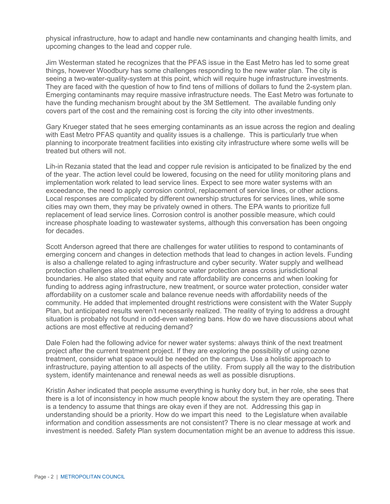physical infrastructure, how to adapt and handle new contaminants and changing health limits, and upcoming changes to the lead and copper rule.

 things, however Woodbury has some challenges responding to the new water plan. The city is Jim Westerman stated he recognizes that the PFAS issue in the East Metro has led to some great seeing a two-water-quality-system at this point, which will require huge infrastructure investments. They are faced with the question of how to find tens of millions of dollars to fund the 2-system plan. Emerging contaminants may require massive infrastructure needs. The East Metro was fortunate to have the funding mechanism brought about by the 3M Settlement. The available funding only covers part of the cost and the remaining cost is forcing the city into other investments.

Gary Krueger stated that he sees emerging contaminants as an issue across the region and dealing with East Metro PFAS quantity and quality issues is a challenge. This is particularly true when planning to incorporate treatment facilities into existing city infrastructure where some wells will be treated but others will not.

Lih-in Rezania stated that the lead and copper rule revision is anticipated to be finalized by the end of the year. The action level could be lowered, focusing on the need for utility monitoring plans and implementation work related to lead service lines. Expect to see more water systems with an exceedance, the need to apply corrosion control, replacement of service lines, or other actions. Local responses are complicated by different ownership structures for services lines, while some cities may own them, they may be privately owned in others. The EPA wants to prioritize full replacement of lead service lines. Corrosion control is another possible measure, which could increase phosphate loading to wastewater systems, although this conversation has been ongoing for decades.

Scott Anderson agreed that there are challenges for water utilities to respond to contaminants of emerging concern and changes in detection methods that lead to changes in action levels. Funding is also a challenge related to aging infrastructure and cyber security. Water supply and wellhead protection challenges also exist where source water protection areas cross jurisdictional boundaries. He also stated that equity and rate affordability are concerns and when looking for funding to address aging infrastructure, new treatment, or source water protection, consider water affordability on a customer scale and balance revenue needs with affordability needs of the community. He added that implemented drought restrictions were consistent with the Water Supply Plan, but anticipated results weren't necessarily realized. The reality of trying to address a drought situation is probably not found in odd-even watering bans. How do we have discussions about what actions are most effective at reducing demand?

Dale Folen had the following advice for newer water systems: always think of the next treatment project after the current treatment project. If they are exploring the possibility of using ozone treatment, consider what space would be needed on the campus. Use a holistic approach to infrastructure, paying attention to all aspects of the utility. From supply all the way to the distribution system, identify maintenance and renewal needs as well as possible disruptions.

Kristin Asher indicated that people assume everything is hunky dory but, in her role, she sees that there is a lot of inconsistency in how much people know about the system they are operating. There is a tendency to assume that things are okay even if they are not. Addressing this gap in understanding should be a priority. How do we impart this need to the Legislature when available information and condition assessments are not consistent? There is no clear message at work and investment is needed. Safety Plan system documentation might be an avenue to address this issue.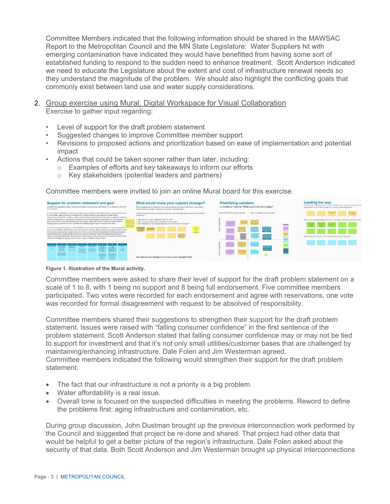Committee Members indicated that the following information should be shared in the MAWSAC Report to the Metropolitan Council and the MN State Legislature: Water Suppliers hit with emerging contamination have indicated they would have benefitted from having some sort of established funding to respond to the sudden need to enhance treatment. Scott Anderson indicated we need to educate the Legislature about the extent and cost of infrastructure renewal needs so they understand the magnitude of the problem. We should also highlight the conflicting goals that commonly exist between land use and water supply considerations.

- 2. Group exercise using Mural, Digital Workspace for Visual Collaboration Exercise to gather input regarding:
	- Level of support for the draft problem statement
	- Suggested changes to improve Committee member support
	- Revisions to proposed actions and prioritization based on ease of implementation and potential impact
	- Actions that could be taken sooner rather than later, including:
		- o Examples of efforts and key takeaways to inform our efforts
		- Key stakeholders (potential leaders and partners)  $\circ$

Committee members were invited to join an online Mural board for this exercise.





Committee members were asked to share their level of support for the draft problem statement on a scale of 1 to 8, with 1 being no support and 8 being full endorsement. Five committee members participated. Two votes were recorded for each endorsement and agree with reservations, one vote was recorded for formal disagreement with request to be absolved of responsibility.

Committee members shared their suggestions to strengthen their support for the draft problem statement. Issues were raised with "falling consumer confidence" in the first sentence of the problem statement. Scott Anderson stated that falling consumer confidence may or may not be tied to support for investment and that it's not only small utilities/customer bases that are challenged by maintaining/enhancing infrastructure. Dale Folen and Jim Westerman agreed. Committee members indicated the following would strengthen their support for the draft problem statement:

- The fact that our infrastructure is not a priority is a big problem.
- Water affordability is a real issue.
- Overall tone is focused on the suspected difficulties in meeting the problems. Reword to define the problems first: aging infrastructure and contamination, etc.

During group discussion, John Dustman brought up the previous interconnection work performed by the Council and suggested that project be re-done and shared. That project had other data that would be helpful to get a better picture of the region's infrastructure. Dale Folen asked about the security of that data. Both Scott Anderson and Jim Westerman brought up physical interconnections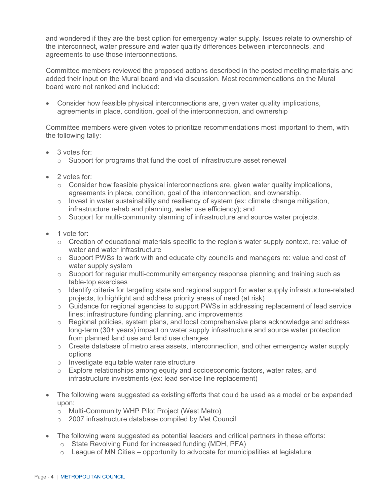and wondered if they are the best option for emergency water supply. Issues relate to ownership of the interconnect, water pressure and water quality differences between interconnects, and agreements to use those interconnections.

Committee members reviewed the proposed actions described in the posted meeting materials and added their input on the Mural board and via discussion. Most recommendations on the Mural board were not ranked and included:

• Consider how feasible physical interconnections are, given water quality implications, agreements in place, condition, goal of the interconnection, and ownership

Committee members were given votes to prioritize recommendations most important to them, with the following tally:

- 3 votes for:
	- o Support for programs that fund the cost of infrastructure asset renewal
- 2 votes for:
	- agreements in place, condition, goal of the interconnection, and ownership.  $\circ$  Consider how feasible physical interconnections are, given water quality implications,
	- $\circ$  Invest in water sustainability and resiliency of system (ex: climate change mitigation, infrastructure rehab and planning, water use efficiency); and
	- o Support for multi-community planning of infrastructure and source water projects.
- 1 vote for:
	- $\circ$  Creation of educational materials specific to the region's water supply context, re: value of water and water infrastructure
	- water supply system  $\circ$  Support PWSs to work with and educate city councils and managers re: value and cost of
	- $\circ$  Support for regular multi-community emergency response planning and training such as table-top exercises
	- $\circ$  Identify criteria for targeting state and regional support for water supply infrastructure-related projects, to highlight and address priority areas of need (at risk)
	- o Guidance for regional agencies to support PWSs in addressing replacement of lead service lines; infrastructure funding planning, and improvements
	- from planned land use and land use changes o Regional policies, system plans, and local comprehensive plans acknowledge and address long-term (30+ years) impact on water supply infrastructure and source water protection
	- o Create database of metro area assets, interconnection, and other emergency water supply options
	- o Investigate equitable water rate structure
	- o Explore relationships among equity and socioeconomic factors, water rates, and infrastructure investments (ex: lead service line replacement)
- The following were suggested as existing efforts that could be used as a model or be expanded upon:
	- o Multi-Community WHP Pilot Project (West Metro)<br>○ 2007 infrastructure database compiled by Met Cou
	- 2007 infrastructure database compiled by Met Council
- The following were suggested as potential leaders and critical partners in these efforts:
	- o State Revolving Fund for increased funding (MDH, PFA)
	- $\circ$  League of MN Cities opportunity to advocate for municipalities at legislature